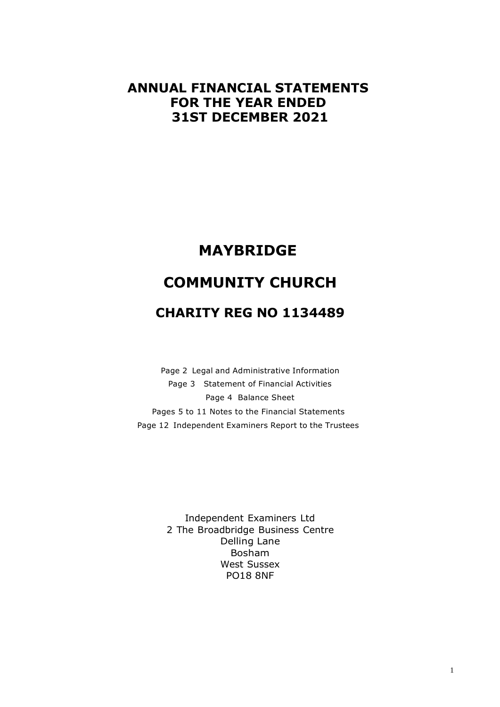# **ANNUAL FINANCIAL STATEMENTS FOR THE YEAR ENDED 31ST DECEMBER 2021**

# **MAYBRIDGE**

# **COMMUNITY CHURCH**

# **CHARITY REG NO 1134489**

Page 2 Legal and Administrative Information Page 3 Statement of Financial Activities Page 4 Balance Sheet Pages 5 to 11 Notes to the Financial Statements Page 12 Independent Examiners Report to the Trustees

> Independent Examiners Ltd 2 The Broadbridge Business Centre Delling Lane Bosham West Sussex PO18 8NF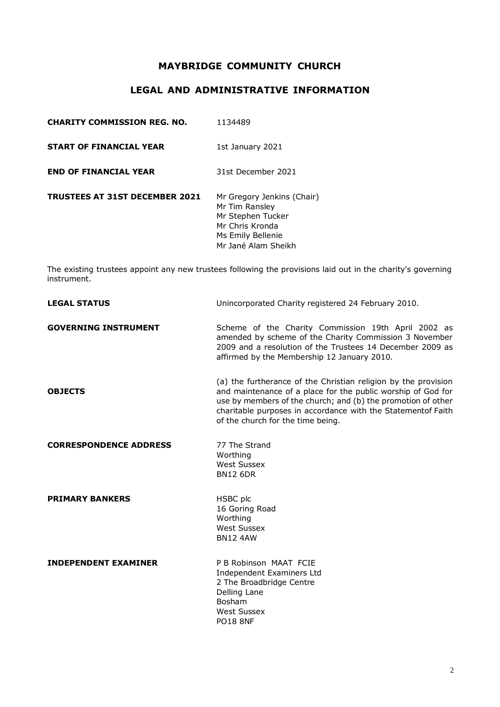# **LEGAL AND ADMINISTRATIVE INFORMATION**

| <b>CHARITY COMMISSION REG. NO.</b>    | 1134489                                                                                                                          |
|---------------------------------------|----------------------------------------------------------------------------------------------------------------------------------|
| <b>START OF FINANCIAL YEAR</b>        | 1st January 2021                                                                                                                 |
| <b>END OF FINANCIAL YEAR</b>          | 31st December 2021                                                                                                               |
| <b>TRUSTEES AT 31ST DECEMBER 2021</b> | Mr Gregory Jenkins (Chair)<br>Mr Tim Ransley<br>Mr Stephen Tucker<br>Mr Chris Kronda<br>Ms Emily Bellenie<br>Mr Jané Alam Sheikh |

The existing trustees appoint any new trustees following the provisions laid out in the charity's governing instrument.

| <b>LEGAL STATUS</b>           | Unincorporated Charity registered 24 February 2010.                                                                                                                                                                                                                                                 |
|-------------------------------|-----------------------------------------------------------------------------------------------------------------------------------------------------------------------------------------------------------------------------------------------------------------------------------------------------|
| <b>GOVERNING INSTRUMENT</b>   | Scheme of the Charity Commission 19th April 2002 as<br>amended by scheme of the Charity Commission 3 November<br>2009 and a resolution of the Trustees 14 December 2009 as<br>affirmed by the Membership 12 January 2010.                                                                           |
| <b>OBJECTS</b>                | (a) the furtherance of the Christian religion by the provision<br>and maintenance of a place for the public worship of God for<br>use by members of the church; and (b) the promotion of other<br>charitable purposes in accordance with the Statementof Faith<br>of the church for the time being. |
| <b>CORRESPONDENCE ADDRESS</b> | 77 The Strand<br>Worthing<br><b>West Sussex</b><br><b>BN12 6DR</b>                                                                                                                                                                                                                                  |
| <b>PRIMARY BANKERS</b>        | HSBC plc<br>16 Goring Road<br>Worthing<br><b>West Sussex</b><br><b>BN12 4AW</b>                                                                                                                                                                                                                     |
| <b>INDEPENDENT EXAMINER</b>   | P B Robinson MAAT FCIE<br>Independent Examiners Ltd<br>2 The Broadbridge Centre<br>Delling Lane<br><b>Bosham</b><br><b>West Sussex</b><br><b>PO18 8NF</b>                                                                                                                                           |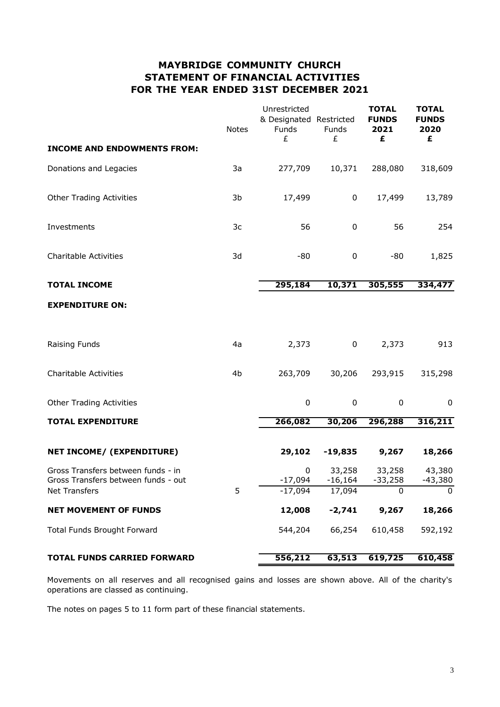# **MAYBRIDGE COMMUNITY CHURCH STATEMENT OF FINANCIAL ACTIVITIES FOR THE YEAR ENDED 31ST DECEMBER 2021**

| <b>INCOME AND ENDOWMENTS FROM:</b>  | <b>Notes</b> | Unrestricted<br>& Designated Restricted<br>Funds<br>£ | Funds<br>£  | <b>TOTAL</b><br><b>FUNDS</b><br>2021<br>£ | <b>TOTAL</b><br><b>FUNDS</b><br>2020<br>£ |
|-------------------------------------|--------------|-------------------------------------------------------|-------------|-------------------------------------------|-------------------------------------------|
|                                     |              |                                                       |             |                                           |                                           |
| Donations and Legacies              | 3a           | 277,709                                               | 10,371      | 288,080                                   | 318,609                                   |
| <b>Other Trading Activities</b>     | 3b           | 17,499                                                | 0           | 17,499                                    | 13,789                                    |
| Investments                         | 3c           | 56                                                    | $\pmb{0}$   | 56                                        | 254                                       |
| <b>Charitable Activities</b>        | 3d           | -80                                                   | $\pmb{0}$   | $-80$                                     | 1,825                                     |
| <b>TOTAL INCOME</b>                 |              | 295,184                                               | 10,371      | 305,555                                   | 334,477                                   |
| <b>EXPENDITURE ON:</b>              |              |                                                       |             |                                           |                                           |
| Raising Funds                       | 4a           | 2,373                                                 | 0           | 2,373                                     | 913                                       |
| <b>Charitable Activities</b>        | 4b           | 263,709                                               | 30,206      | 293,915                                   | 315,298                                   |
| <b>Other Trading Activities</b>     |              | 0                                                     | $\mathbf 0$ | 0                                         | $\mathbf 0$                               |
| <b>TOTAL EXPENDITURE</b>            |              | 266,082                                               | 30,206      | 296,288                                   | 316,211                                   |
| NET INCOME/ (EXPENDITURE)           |              | 29,102                                                | $-19,835$   | 9,267                                     | 18,266                                    |
| Gross Transfers between funds - in  |              | 0                                                     | 33,258      | 33,258                                    | 43,380                                    |
| Gross Transfers between funds - out |              | $-17,094$                                             | $-16,164$   | $-33,258$                                 | -43,380                                   |
| Net Transfers                       | 5            | $-17,094$                                             | 17,094      | $\overline{0}$                            | $\overline{0}$                            |
| <b>NET MOVEMENT OF FUNDS</b>        |              | 12,008                                                | $-2,741$    | 9,267                                     | 18,266                                    |
| <b>Total Funds Brought Forward</b>  |              | 544,204                                               | 66,254      | 610,458                                   | 592,192                                   |
| <b>TOTAL FUNDS CARRIED FORWARD</b>  |              | 556,212                                               | 63,513      | 619,725                                   | 610,458                                   |

Movements on all reserves and all recognised gains and losses are shown above. All of the charity's operations are classed as continuing.

The notes on pages 5 to 11 form part of these financial statements.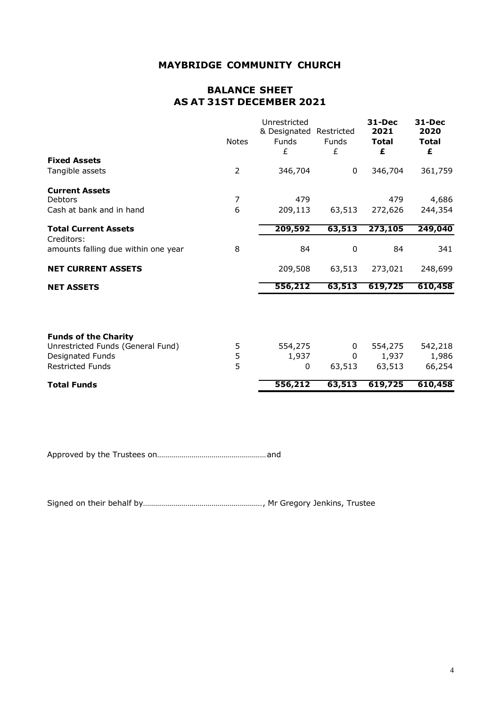# **BALANCE SHEET AS AT 31ST DECEMBER 2021**

|                                                   | <b>Notes</b> | Unrestricted<br>& Designated Restricted<br><b>Funds</b><br>£ | <b>Funds</b><br>£ | 31-Dec<br>2021<br><b>Total</b><br>£ | 31-Dec<br>2020<br><b>Total</b><br>£ |
|---------------------------------------------------|--------------|--------------------------------------------------------------|-------------------|-------------------------------------|-------------------------------------|
| <b>Fixed Assets</b>                               |              |                                                              |                   |                                     |                                     |
| Tangible assets                                   | 2            | 346,704                                                      | 0                 | 346,704                             | 361,759                             |
| <b>Current Assets</b>                             |              |                                                              |                   |                                     |                                     |
| Debtors                                           | 7            | 479                                                          |                   | 479                                 | 4,686                               |
| Cash at bank and in hand                          | 6            | 209,113                                                      | 63,513            | 272,626                             | 244,354                             |
| <b>Total Current Assets</b>                       |              | 209,592                                                      | 63,513            | 273,105                             | 249,040                             |
| Creditors:<br>amounts falling due within one year | 8            | 84                                                           | $\boldsymbol{0}$  | 84                                  | 341                                 |
| <b>NET CURRENT ASSETS</b>                         |              | 209,508                                                      | 63,513            | 273,021                             | 248,699                             |
| <b>NET ASSETS</b>                                 |              | 556,212                                                      | 63,513            | 619,725                             | 610,458                             |
| <b>Funds of the Charity</b>                       |              |                                                              |                   |                                     |                                     |
| Unrestricted Funds (General Fund)                 | 5            | 554,275                                                      | 0                 | 554,275                             | 542,218                             |
| Designated Funds                                  | 5            | 1,937                                                        | $\mathbf{0}$      | 1,937                               | 1,986                               |
| <b>Restricted Funds</b>                           | 5            | 0                                                            | 63,513            | 63,513                              | 66,254                              |
| <b>Total Funds</b>                                |              | 556,212                                                      | 63,513            | 619,725                             | 610,458                             |

Approved by the Trustees on......................................................and

Signed on their behalf by..........................................................., Mr Gregory Jenkins, Trustee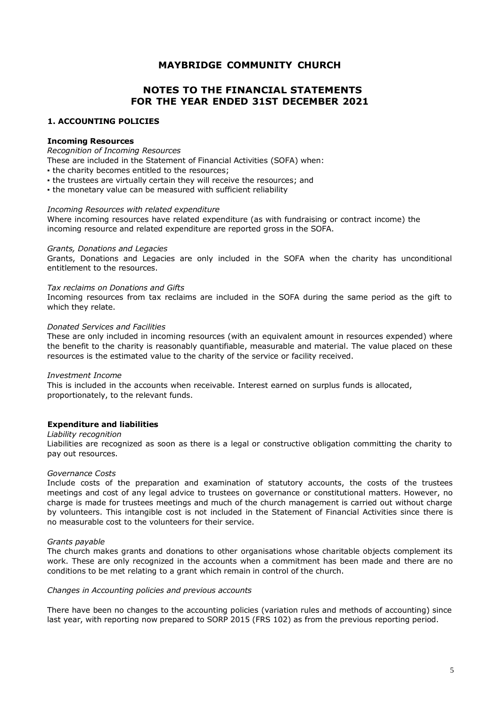# **NOTES TO THE FINANCIAL STATEMENTS FOR THE YEAR ENDED 31ST DECEMBER 2021**

#### **1. ACCOUNTING POLICIES**

#### **Incoming Resources**

#### *Recognition of Incoming Resources*

These are included in the Statement of Financial Activities (SOFA) when:

- . the charity becomes entitled to the resources;
- the trustees are virtually certain they will receive the resources; and
- . the monetary value can be measured with sufficient reliability

#### *Incoming Resources with related expenditure*

Where incoming resources have related expenditure (as with fundraising or contract income) the incoming resource and related expenditure are reported gross in the SOFA.

#### *Grants, Donations and Legacies*

Grants, Donations and Legacies are only included in the SOFA when the charity has unconditional entitlement to the resources.

#### *Tax reclaims on Donations and Gifts*

Incoming resources from tax reclaims are included in the SOFA during the same period as the gift to which they relate.

#### *Donated Services and Facilities*

These are only included in incoming resources (with an equivalent amount in resources expended) where the benefit to the charity is reasonably quantifiable, measurable and material. The value placed on these resources is the estimated value to the charity of the service or facility received.

#### *Investment Income*

This is included in the accounts when receivable. Interest earned on surplus funds is allocated, proportionately, to the relevant funds.

#### **Expenditure and liabilities**

#### *Liability recognition*

Liabilities are recognized as soon as there is a legal or constructive obligation committing the charity to pay out resources.

#### *Governance Costs*

Include costs of the preparation and examination of statutory accounts, the costs of the trustees meetings and cost of any legal advice to trustees on governance or constitutional matters. However, no charge is made for trustees meetings and much of the church management is carried out without charge by volunteers. This intangible cost is not included in the Statement of Financial Activities since there is no measurable cost to the volunteers for their service.

#### *Grants payable*

The church makes grants and donations to other organisations whose charitable objects complement its work. These are only recognized in the accounts when a commitment has been made and there are no conditions to be met relating to a grant which remain in control of the church.

#### *Changes in Accounting policies and previous accounts*

There have been no changes to the accounting policies (variation rules and methods of accounting) since last year, with reporting now prepared to SORP 2015 (FRS 102) as from the previous reporting period.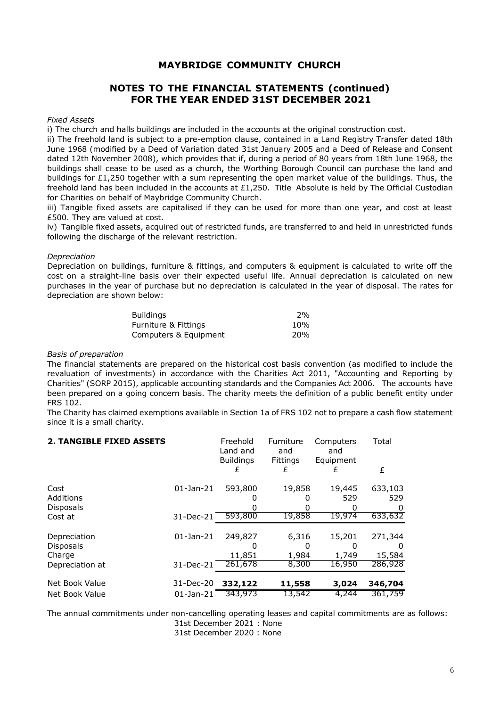# **NOTES TO THE FINANCIAL STATEMENTS (continued) FOR THE YEAR ENDED 31ST DECEMBER 2021**

#### *Fixed Assets*

i) The church and halls buildings are included in the accounts at the original construction cost.

ii) The freehold land is subject to a pre-emption clause, contained in a Land Registry Transfer dated 18th June 1968 (modified by a Deed of Variation dated 31st January 2005 and a Deed of Release and Consent dated 12th November 2008), which provides that if, during a period of 80 years from 18th June 1968, the buildings shall cease to be used as a church, the Worthing Borough Council can purchase the land and buildings for £1,250 together with a sum representing the open market value of the buildings. Thus, the freehold land has been included in the accounts at £1,250. Title Absolute is held by The Official Custodian for Charities on behalf of Maybridge Community Church.

iii) Tangible fixed assets are capitalised if they can be used for more than one year, and cost at least £500. They are valued at cost.

iv) Tangible fixed assets, acquired out of restricted funds, are transferred to and held in unrestricted funds following the discharge of the relevant restriction.

#### *Depreciation*

Depreciation on buildings, furniture & fittings, and computers & equipment is calculated to write off the cost on a straight-line basis over their expected useful life. Annual depreciation is calculated on new purchases in the year of purchase but no depreciation is calculated in the year of disposal. The rates for depreciation are shown below:

| Buildinas             | 2%         |
|-----------------------|------------|
| Furniture & Fittings  | 10%        |
| Computers & Equipment | <b>20%</b> |

#### *Basis of preparation*

The financial statements are prepared on the historical cost basis convention (as modified to include the revaluation of investments) in accordance with the Charities Act 2011, "Accounting and Reporting by Charities" (SORP 2015), applicable accounting standards and the Companies Act 2006. The accounts have been prepared on a going concern basis. The charity meets the definition of a public benefit entity under FRS 102.

The Charity has claimed exemptions available in Section 1a of FRS 102 not to prepare a cash flow statement since it is a small charity.

| <b>2. TANGIBLE FIXED ASSETS</b>  |                   | Freehold<br>Land and<br><b>Buildings</b> | Furniture<br>and<br><b>Fittings</b> | Computers<br>and<br>Equipment | Total          |
|----------------------------------|-------------------|------------------------------------------|-------------------------------------|-------------------------------|----------------|
|                                  |                   |                                          | £                                   | ł.                            | £              |
| Cost<br>Additions                | $01 - Jan - 21$   | 593,800                                  | 19,858                              | 19,445<br>529                 | 633,103<br>529 |
| <b>Disposals</b>                 |                   |                                          | 0                                   | O                             | 0              |
| Cost at                          | 31-Dec-21 593,800 |                                          | 19,858                              | 19,974                        | 633,632        |
|                                  |                   |                                          |                                     |                               |                |
| Depreciation<br><b>Disposals</b> | $01 - Jan - 21$   | 249,827<br>O                             | 6,316<br>0                          | 15,201<br>Ω                   | 271,344<br>0   |
| Charge                           |                   | 11,851                                   | 1,984                               | 1,749                         | 15,584         |
| Depreciation at                  | 31-Dec-21         | 261,678                                  | 8,300                               | 16,950                        | 286,928        |
| Net Book Value                   | 31-Dec-20         | 332,122                                  | 11,558                              | 3,024                         | 346,704        |
| Net Book Value                   | $01$ -Jan-21      | 343,973                                  | 13,542                              | 4,244                         | 361,759        |

The annual commitments under non-cancelling operating leases and capital commitments are as follows:

31st December 2021 : None

31st December 2020 : None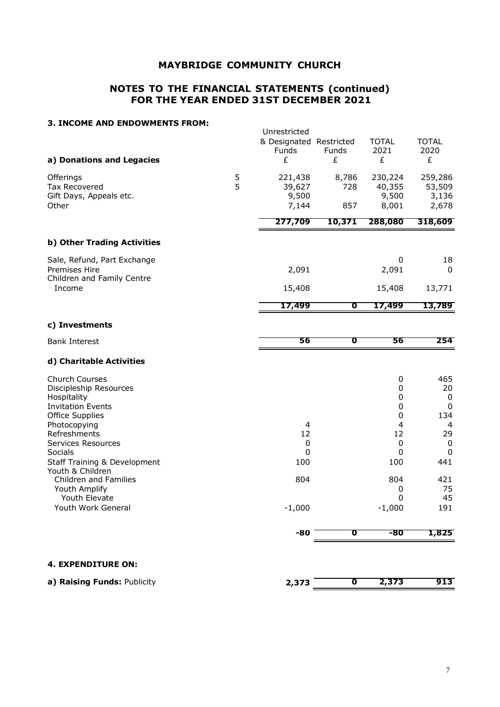### **NOTES TO THE FINANCIAL STATEMENTS (continued) FOR THE YEAR ENDED 31ST DECEMBER 2021**

#### **3. INCOME AND ENDOWMENTS FROM:**

|                                                                                                                                                                                                                    |        | Unrestricted<br>& Designated Restricted<br><b>Funds</b> | Funds        | <b>TOTAL</b><br>2021                                                   | <b>TOTAL</b><br>2020                                                       |
|--------------------------------------------------------------------------------------------------------------------------------------------------------------------------------------------------------------------|--------|---------------------------------------------------------|--------------|------------------------------------------------------------------------|----------------------------------------------------------------------------|
| a) Donations and Legacies                                                                                                                                                                                          |        | £                                                       | £            | £                                                                      | £                                                                          |
| Offerings<br><b>Tax Recovered</b><br>Gift Days, Appeals etc.                                                                                                                                                       | 5<br>5 | 221,438<br>39,627<br>9,500                              | 8,786<br>728 | 230,224<br>40,355<br>9,500                                             | 259,286<br>53,509<br>3,136                                                 |
| Other                                                                                                                                                                                                              |        | 7,144                                                   | 857          | 8,001                                                                  | 2,678                                                                      |
|                                                                                                                                                                                                                    |        | 277,709                                                 | 10,371       | 288,080                                                                | 318,609                                                                    |
| b) Other Trading Activities                                                                                                                                                                                        |        |                                                         |              |                                                                        |                                                                            |
| Sale, Refund, Part Exchange<br>Premises Hire<br>Children and Family Centre                                                                                                                                         |        | 2,091                                                   |              | 0<br>2,091                                                             | 18<br>$\Omega$                                                             |
| Income                                                                                                                                                                                                             |        | 15,408                                                  |              | 15,408                                                                 | 13,771                                                                     |
|                                                                                                                                                                                                                    |        | 17,499                                                  | σ            | 17,499                                                                 | 13,789                                                                     |
| c) Investments                                                                                                                                                                                                     |        |                                                         |              |                                                                        |                                                                            |
| <b>Bank Interest</b>                                                                                                                                                                                               |        | 56                                                      | σ            | 56                                                                     | 254                                                                        |
| d) Charitable Activities                                                                                                                                                                                           |        |                                                         |              |                                                                        |                                                                            |
| Church Courses<br>Discipleship Resources<br>Hospitality<br><b>Invitation Events</b><br>Office Supplies<br>Photocopying<br>Refreshments<br>Services Resources<br>Socials<br><b>Staff Training &amp; Development</b> |        | $\overline{4}$<br>12<br>0<br>$\mathbf{0}$<br>100        |              | 0<br>0<br>0<br>$\pmb{0}$<br>0<br>$\overline{4}$<br>12<br>0<br>0<br>100 | 465<br>20<br>0<br>$\mathbf 0$<br>134<br>4<br>29<br>0<br>$\mathbf 0$<br>441 |
| Youth & Children<br>Children and Families<br>Youth Amplify<br>Youth Elevate<br>Youth Work General                                                                                                                  |        | 804<br>$-1,000$                                         |              | 804<br>0<br>0<br>$-1,000$                                              | 421<br>75<br>45<br>191                                                     |
|                                                                                                                                                                                                                    |        | -80                                                     | σ            | -80                                                                    | 1,825                                                                      |
| <b>4. EXPENDITURE ON:</b>                                                                                                                                                                                          |        |                                                         |              |                                                                        |                                                                            |
| a) Raising Funds: Publicity                                                                                                                                                                                        |        | 2,373                                                   | $\mathbf 0$  | 2,373                                                                  | 913                                                                        |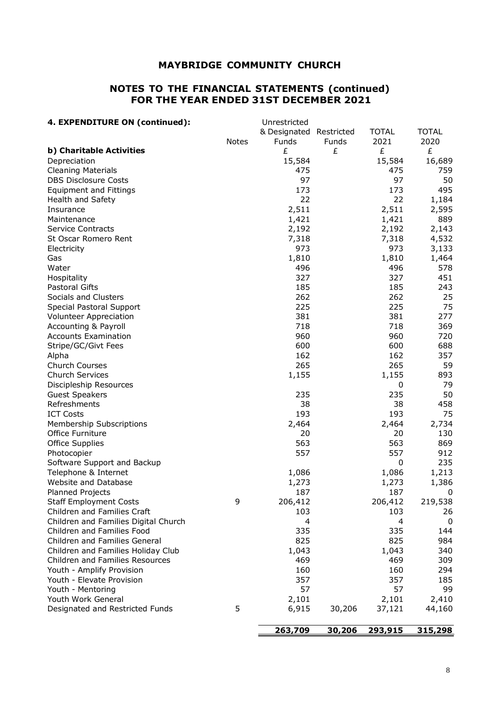### **NOTES TO THE FINANCIAL STATEMENTS (continued) FOR THE YEAR ENDED 31ST DECEMBER 2021**

| 4. EXPENDITURE ON (continued):       |              | Unrestricted            |        |              |              |
|--------------------------------------|--------------|-------------------------|--------|--------------|--------------|
|                                      |              | & Designated Restricted |        | <b>TOTAL</b> | <b>TOTAL</b> |
|                                      | <b>Notes</b> | Funds                   | Funds  | 2021         | 2020         |
| b) Charitable Activities             |              | £                       | £      | £            | £            |
| Depreciation                         |              | 15,584                  |        | 15,584       | 16,689       |
| <b>Cleaning Materials</b>            |              | 475                     |        | 475          | 759          |
| <b>DBS Disclosure Costs</b>          |              | 97                      |        | 97           | 50           |
| <b>Equipment and Fittings</b>        |              | 173                     |        | 173          | 495          |
| <b>Health and Safety</b>             |              | 22                      |        | 22           | 1,184        |
| Insurance                            |              | 2,511                   |        | 2,511        | 2,595        |
| Maintenance                          |              | 1,421                   |        | 1,421        | 889          |
| <b>Service Contracts</b>             |              | 2,192                   |        | 2,192        | 2,143        |
| St Oscar Romero Rent                 |              | 7,318                   |        | 7,318        | 4,532        |
| Electricity                          |              | 973                     |        | 973          | 3,133        |
| Gas                                  |              | 1,810                   |        | 1,810        | 1,464        |
| Water                                |              | 496                     |        | 496          | 578          |
|                                      |              |                         |        |              |              |
| Hospitality                          |              | 327                     |        | 327          | 451          |
| <b>Pastoral Gifts</b>                |              | 185                     |        | 185          | 243          |
| Socials and Clusters                 |              | 262                     |        | 262          | 25           |
| Special Pastoral Support             |              | 225                     |        | 225          | 75           |
| <b>Volunteer Appreciation</b>        |              | 381                     |        | 381          | 277          |
| Accounting & Payroll                 |              | 718                     |        | 718          | 369          |
| <b>Accounts Examination</b>          |              | 960                     |        | 960          | 720          |
| Stripe/GC/Givt Fees                  |              | 600                     |        | 600          | 688          |
| Alpha                                |              | 162                     |        | 162          | 357          |
| <b>Church Courses</b>                |              | 265                     |        | 265          | 59           |
| <b>Church Services</b>               |              | 1,155                   |        | 1,155        | 893          |
| Discipleship Resources               |              |                         |        | 0            | 79           |
| <b>Guest Speakers</b>                |              | 235                     |        | 235          | 50           |
| Refreshments                         |              | 38                      |        | 38           | 458          |
| <b>ICT Costs</b>                     |              | 193                     |        | 193          | 75           |
| Membership Subscriptions             |              | 2,464                   |        | 2,464        | 2,734        |
| Office Furniture                     |              | 20                      |        | 20           | 130          |
| <b>Office Supplies</b>               |              | 563                     |        | 563          | 869          |
| Photocopier                          |              | 557                     |        | 557          | 912          |
| Software Support and Backup          |              |                         |        | 0            | 235          |
| Telephone & Internet                 |              | 1,086                   |        | 1,086        | 1,213        |
| Website and Database                 |              | 1,273                   |        | 1,273        | 1,386        |
| Planned Projects                     |              | 187                     |        | 187          | $\mathbf 0$  |
| <b>Staff Employment Costs</b>        | 9            | 206,412                 |        | 206,412      | 219,538      |
| Children and Families Craft          |              | 103                     |        | 103          | 26           |
| Children and Families Digital Church |              | 4                       |        | 4            | 0            |
| Children and Families Food           |              | 335                     |        | 335          | 144          |
| Children and Families General        |              | 825                     |        | 825          | 984          |
|                                      |              |                         |        |              |              |
| Children and Families Holiday Club   |              | 1,043                   |        | 1,043        | 340          |
| Children and Families Resources      |              | 469                     |        | 469          | 309          |
| Youth - Amplify Provision            |              | 160                     |        | 160          | 294          |
| Youth - Elevate Provision            |              | 357                     |        | 357          | 185          |
| Youth - Mentoring                    |              | 57                      |        | 57           | 99           |
| Youth Work General                   |              | 2,101                   |        | 2,101        | 2,410        |
| Designated and Restricted Funds      | 5            | 6,915                   | 30,206 | 37,121       | 44,160       |
|                                      |              | 263,709                 | 30,206 | 293,915      | 315,298      |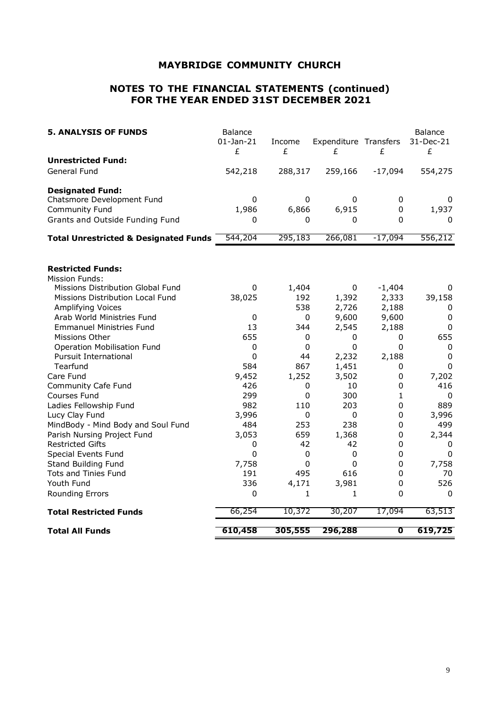### **NOTES TO THE FINANCIAL STATEMENTS (continued) FOR THE YEAR ENDED 31ST DECEMBER 2021**

| <b>5. ANALYSIS OF FUNDS</b>                      | Balance<br>$01$ -Jan-21<br>£ | Income<br>£ | Expenditure Transfers<br>£ | £            | <b>Balance</b><br>31-Dec-21<br>£ |
|--------------------------------------------------|------------------------------|-------------|----------------------------|--------------|----------------------------------|
| <b>Unrestricted Fund:</b>                        |                              |             |                            |              |                                  |
| General Fund                                     | 542,218                      | 288,317     | 259,166                    | $-17,094$    | 554,275                          |
| <b>Designated Fund:</b>                          |                              |             |                            |              |                                  |
| Chatsmore Development Fund                       | $\Omega$                     | 0           | 0                          | 0            | 0                                |
| Community Fund                                   | 1,986                        | 6,866       | 6,915                      | $\Omega$     | 1,937                            |
| Grants and Outside Funding Fund                  | 0                            | 0           | 0                          | $\Omega$     | 0                                |
| <b>Total Unrestricted &amp; Designated Funds</b> | 544,204                      | 295,183     | 266,081                    | $-17,094$    | 556,212                          |
| <b>Restricted Funds:</b>                         |                              |             |                            |              |                                  |
| <b>Mission Funds:</b>                            |                              |             |                            |              |                                  |
| Missions Distribution Global Fund                | 0                            | 1,404       | 0                          | $-1,404$     | 0                                |
| Missions Distribution Local Fund                 | 38,025                       | 192         | 1,392                      | 2,333        | 39,158                           |
| Amplifying Voices                                |                              | 538         | 2,726                      | 2,188        | 0                                |
| Arab World Ministries Fund                       | $\mathbf 0$                  | $\Omega$    | 9,600                      | 9,600        | 0                                |
| <b>Emmanuel Ministries Fund</b>                  | 13                           | 344         | 2,545                      | 2,188        | 0                                |
| Missions Other                                   | 655                          | 0           | $\pmb{0}$                  | 0            | 655                              |
| Operation Mobilisation Fund                      | 0                            | 0           | 0                          | 0            | $\mathbf 0$                      |
| <b>Pursuit International</b>                     | $\overline{0}$               | 44          | 2,232                      | 2,188        | $\mathbf 0$                      |
| Tearfund                                         | 584                          | 867         | 1,451                      | 0            | $\Omega$                         |
| Care Fund                                        | 9,452                        | 1,252       | 3,502                      | $\mathbf 0$  | 7,202                            |
| Community Cafe Fund                              | 426                          | 0           | 10                         | $\mathbf 0$  | 416                              |
| Courses Fund                                     | 299                          | 0           | 300                        | $\mathbf{1}$ | $\mathbf{0}$                     |
| Ladies Fellowship Fund                           | 982                          | 110         | 203                        | 0            | 889                              |
| Lucy Clay Fund                                   | 3,996                        | 0           | 0                          | 0            | 3,996                            |
| MindBody - Mind Body and Soul Fund               | 484                          | 253         | 238                        | 0            | 499                              |
| Parish Nursing Project Fund                      | 3,053                        | 659         | 1,368                      | 0            | 2,344                            |
| <b>Restricted Gifts</b>                          | 0                            | 42          | 42                         | 0            | 0                                |
| Special Events Fund                              | $\overline{0}$               | $\Omega$    | $\mathbf 0$                | 0            | 0                                |
| Stand Building Fund                              | 7,758                        | 0           | 0                          | 0            | 7,758                            |
| Tots and Tinies Fund                             | 191                          | 495         | 616                        | $\mathbf 0$  | 70                               |
| Youth Fund                                       | 336                          | 4,171       | 3,981                      | 0            | 526                              |
| <b>Rounding Errors</b>                           | 0                            | 1           | 1                          | 0            | 0                                |
| <b>Total Restricted Funds</b>                    | 66,254                       | 10,372      | 30,207                     | 17,094       | 63,513                           |
| <b>Total All Funds</b>                           | 610,458                      | 305,555     | 296,288                    | O            | 619,725                          |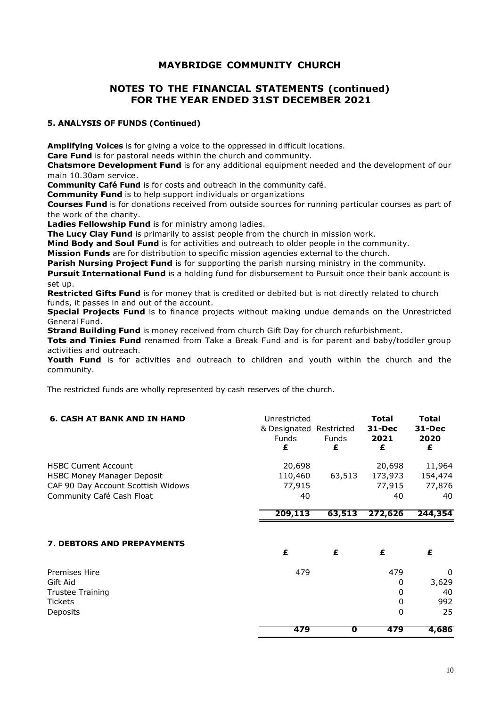### **NOTES TO THE FINANCIAL STATEMENTS (continued) FOR THE YEAR ENDED 31ST DECEMBER 2021**

### **5. ANALYSIS OF FUNDS (Continued)**

**Amplifying Voices** is for giving a voice to the oppressed in difficult locations.

**Care Fund** is for pastoral needs within the church and community.

**Chatsmore Development Fund** is for any additional equipment needed and the development of our main 10.30am service.

**Community Café Fund** is for costs and outreach in the community café.

**Community Fund** is to help support individuals or organizations

**Courses Fund** is for donations received from outside sources for running particular courses as part of the work of the charity.

**Ladies Fellowship Fund** is for ministry among ladies.

**The Lucy Clay Fund** is primarily to assist people from the church in mission work.

**Mind Body and Soul Fund** is for activities and outreach to older people in the community.

**Mission Funds** are for distribution to specific mission agencies external to the church.

**Parish Nursing Project Fund** is for supporting the parish nursing ministry in the community.

**Pursuit International Fund** is a holding fund for disbursement to Pursuit once their bank account is set up.

**Restricted Gifts Fund** is for money that is credited or debited but is not directly related to church funds, it passes in and out of the account.

**Special Projects Fund** is to finance projects without making undue demands on the Unrestricted General Fund.

**Strand Building Fund** is money received from church Gift Day for church refurbishment.

**Tots and Tinies Fund** renamed from Take a Break Fund and is for parent and baby/toddler group activities and outreach.

**Youth Fund** is for activities and outreach to children and youth within the church and the community.

The restricted funds are wholly represented by cash reserves of the church.

| <b>6. CASH AT BANK AND IN HAND</b>                                                                                                  | Unrestricted<br>& Designated Restricted<br><b>Funds</b><br>£ | <b>Funds</b><br>£ | <b>Total</b><br>31-Dec<br>2021<br>£   | <b>Total</b><br>31-Dec<br>2020<br>£ |
|-------------------------------------------------------------------------------------------------------------------------------------|--------------------------------------------------------------|-------------------|---------------------------------------|-------------------------------------|
| <b>HSBC Current Account</b><br><b>HSBC Money Manager Deposit</b><br>CAF 90 Day Account Scottish Widows<br>Community Café Cash Float | 20,698<br>110,460<br>77,915<br>40                            | 63,513            | 20,698<br>173,973<br>77,915<br>40     | 11,964<br>154,474<br>77,876<br>40   |
|                                                                                                                                     | 209,113                                                      | 63,513            | 272,626                               | 244,354                             |
| <b>7. DEBTORS AND PREPAYMENTS</b>                                                                                                   | £                                                            | £                 | £                                     | £                                   |
| <b>Premises Hire</b><br>Gift Aid<br><b>Trustee Training</b><br><b>Tickets</b><br>Deposits                                           | 479                                                          |                   | 479<br>0<br>$\Omega$<br>0<br>$\Omega$ | 0<br>3,629<br>40<br>992<br>25       |
|                                                                                                                                     | 479                                                          | O                 | 479                                   | 4,686                               |